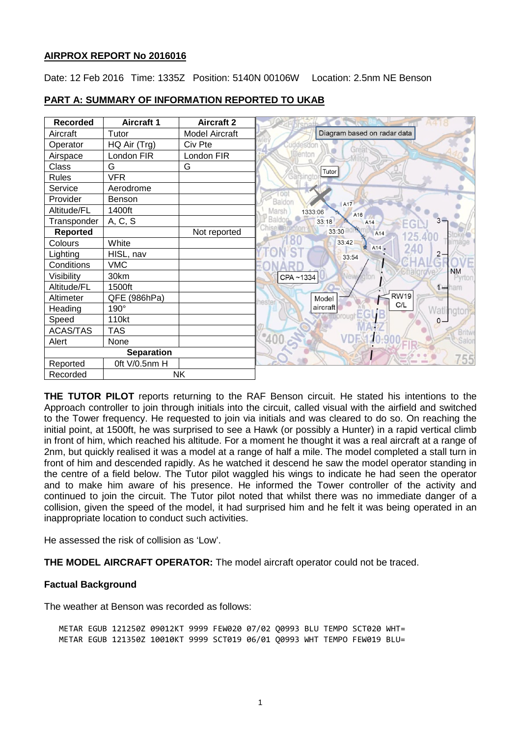# **AIRPROX REPORT No 2016016**

Date: 12 Feb 2016 Time: 1335Z Position: 5140N 00106W Location: 2.5nm NE Benson

| <b>Recorded</b>   | <b>Aircraft 1</b> | <b>Aircraft 2</b>     |                                   |
|-------------------|-------------------|-----------------------|-----------------------------------|
| Aircraft          | Tutor             | <b>Model Aircraft</b> | Diagram based on radar data       |
| Operator          | HQ Air (Trg)      | Civ Pte               |                                   |
| Airspace          | London FIR        | London FIR            | <b>Denton</b>                     |
| Class             | G                 | G                     | Tutor                             |
| <b>Rules</b>      | <b>VFR</b>        |                       | Garsingt                          |
| Service           | Aerodrome         |                       | $1$ Ool                           |
| Provider          | Benson            |                       | Baldon<br>A17                     |
| Altitude/FL       | 1400ft            |                       | Marsh<br>1333:06<br>A16           |
| Transponder       | A, C, S           |                       | Baldor<br>33:18<br>A14<br>EG      |
| <b>Reported</b>   |                   | Not reported          | 33:30<br>A14<br>125.400           |
| Colours           | White             |                       | 33:42<br>240<br>A <sub>14</sub> . |
| Lighting          | HISL, nav         |                       | 33:54                             |
| Conditions        | <b>VMC</b>        |                       |                                   |
| Visibility        | 30km              |                       | CPA~1334                          |
| Altitude/FL       | 1500ft            |                       |                                   |
| Altimeter         | QFE<br>(986hPa)   |                       | <b>RW19</b><br>Model<br>heste     |
| Heading           | 190°              |                       | C/L<br>aircraft                   |
| Speed             | 110kt             |                       |                                   |
| ACAS/TAS          | <b>TAS</b>        |                       |                                   |
| Alert             | None              |                       | 300                               |
| <b>Separation</b> |                   |                       |                                   |
| Reported          | Oft V/0.5nm H     |                       |                                   |
| Recorded          | <b>NK</b>         |                       |                                   |

## **PART A: SUMMARY OF INFORMATION REPORTED TO UKAB**

**THE TUTOR PILOT** reports returning to the RAF Benson circuit. He stated his intentions to the Approach controller to join through initials into the circuit, called visual with the airfield and switched to the Tower frequency. He requested to join via initials and was cleared to do so. On reaching the initial point, at 1500ft, he was surprised to see a Hawk (or possibly a Hunter) in a rapid vertical climb in front of him, which reached his altitude. For a moment he thought it was a real aircraft at a range of 2nm, but quickly realised it was a model at a range of half a mile. The model completed a stall turn in front of him and descended rapidly. As he watched it descend he saw the model operator standing in the centre of a field below. The Tutor pilot waggled his wings to indicate he had seen the operator and to make him aware of his presence. He informed the Tower controller of the activity and continued to join the circuit. The Tutor pilot noted that whilst there was no immediate danger of a collision, given the speed of the model, it had surprised him and he felt it was being operated in an inappropriate location to conduct such activities.

He assessed the risk of collision as 'Low'.

**THE MODEL AIRCRAFT OPERATOR:** The model aircraft operator could not be traced.

# **Factual Background**

The weather at Benson was recorded as follows:

METAR EGUB 121250Z 09012KT 9999 FEW020 07/02 Q0993 BLU TEMPO SCT020 WHT= METAR EGUB 121350Z 10010KT 9999 SCT019 06/01 Q0993 WHT TEMPO FEW019 BLU=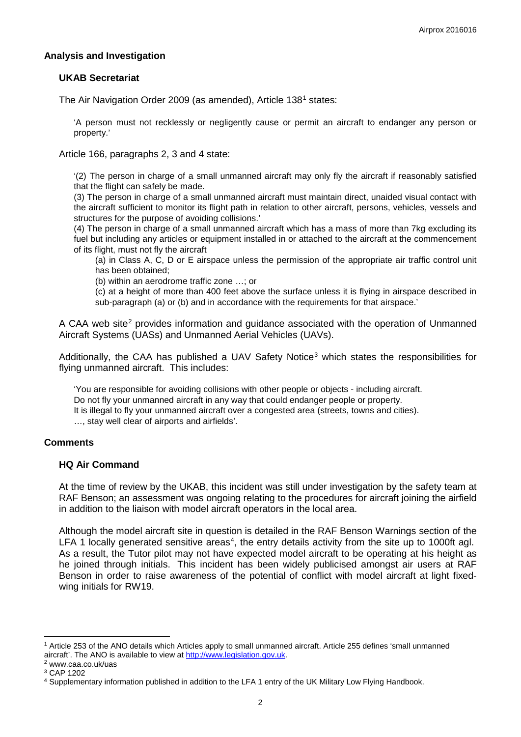## **Analysis and Investigation**

## **UKAB Secretariat**

The Air Navigation Order 2009 (as amended), Article [1](#page-1-0)38<sup>1</sup> states:

'A person must not recklessly or negligently cause or permit an aircraft to endanger any person or property.'

Article 166, paragraphs 2, 3 and 4 state:

'(2) The person in charge of a small unmanned aircraft may only fly the aircraft if reasonably satisfied that the flight can safely be made.

(3) The person in charge of a small unmanned aircraft must maintain direct, unaided visual contact with the aircraft sufficient to monitor its flight path in relation to other aircraft, persons, vehicles, vessels and structures for the purpose of avoiding collisions.'

(4) The person in charge of a small unmanned aircraft which has a mass of more than 7kg excluding its fuel but including any articles or equipment installed in or attached to the aircraft at the commencement of its flight, must not fly the aircraft

(a) in Class A, C, D or E airspace unless the permission of the appropriate air traffic control unit has been obtained;

(b) within an aerodrome traffic zone …; or

(c) at a height of more than 400 feet above the surface unless it is flying in airspace described in sub-paragraph (a) or (b) and in accordance with the requirements for that airspace.'

A CAA web site<sup>[2](#page-1-1)</sup> provides information and guidance associated with the operation of Unmanned Aircraft Systems (UASs) and Unmanned Aerial Vehicles (UAVs).

Additionally, the CAA has published a UAV Safety Notice<sup>[3](#page-1-2)</sup> which states the responsibilities for flying unmanned aircraft. This includes:

'You are responsible for avoiding collisions with other people or objects - including aircraft. Do not fly your unmanned aircraft in any way that could endanger people or property. It is illegal to fly your unmanned aircraft over a congested area (streets, towns and cities). …, stay well clear of airports and airfields'.

#### **Comments**

#### **HQ Air Command**

At the time of review by the UKAB, this incident was still under investigation by the safety team at RAF Benson; an assessment was ongoing relating to the procedures for aircraft joining the airfield in addition to the liaison with model aircraft operators in the local area.

Although the model aircraft site in question is detailed in the RAF Benson Warnings section of the LFA 1 locally generated sensitive areas<sup>[4](#page-1-3)</sup>, the entry details activity from the site up to 1000ft agl. As a result, the Tutor pilot may not have expected model aircraft to be operating at his height as he joined through initials. This incident has been widely publicised amongst air users at RAF Benson in order to raise awareness of the potential of conflict with model aircraft at light fixedwing initials for RW19.

l

<span id="page-1-0"></span><sup>1</sup> Article 253 of the ANO details which Articles apply to small unmanned aircraft. Article 255 defines 'small unmanned aircraft'. The ANO is available to view at [http://www.legislation.gov.uk.](http://www.legislation.gov.uk/)<br><sup>2</sup> www.caa.co.uk/uas

<span id="page-1-2"></span><span id="page-1-1"></span><sup>3</sup> CAP 1202

<span id="page-1-3"></span><sup>4</sup> Supplementary information published in addition to the LFA 1 entry of the UK Military Low Flying Handbook.